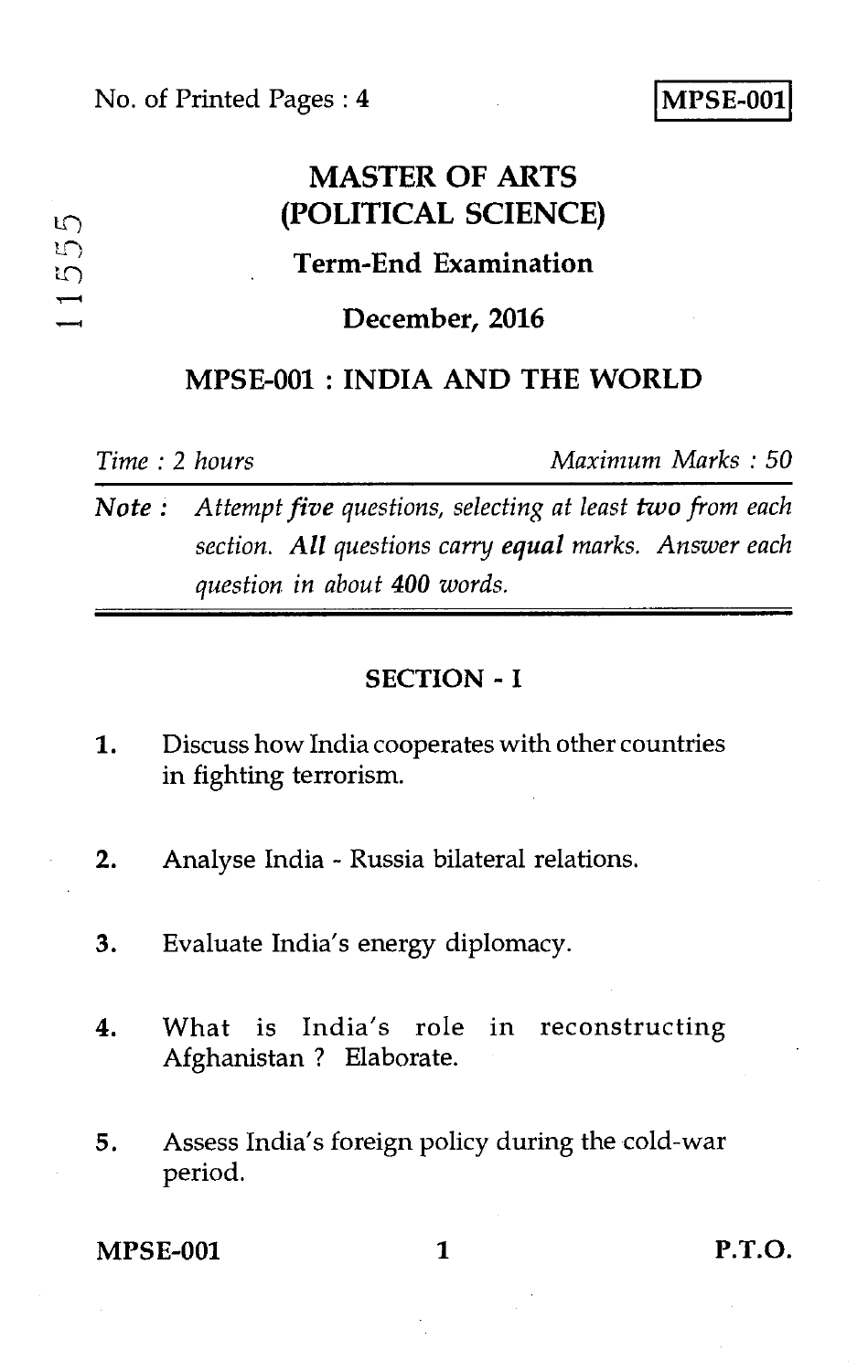# **MASTER OF ARTS (POLITICAL SCIENCE) Term-End Examination**

### **December, 2016**

# **MPSE-001 : INDIA AND THE WORLD**

 $L \cap$  $\sqrt{2}$ ŋ

*Time : 2 hours Maximum Marks : 50* 

*Note : Attempt five questions, selecting at least two from each section. All questions carry equal marks. Answer each question in about 400 words.* 

#### **SECTION - I**

- 1. Discuss how India cooperates with other countries in fighting terrorism.
- 2. Analyse India Russia bilateral relations.
- 3. Evaluate India's energy diplomacy.
- 4. What is India's role in reconstructing Afghanistan ? Elaborate.
- 5. Assess India's foreign policy during the cold-war period.

**MPSE-001** 1 **P.T.O.**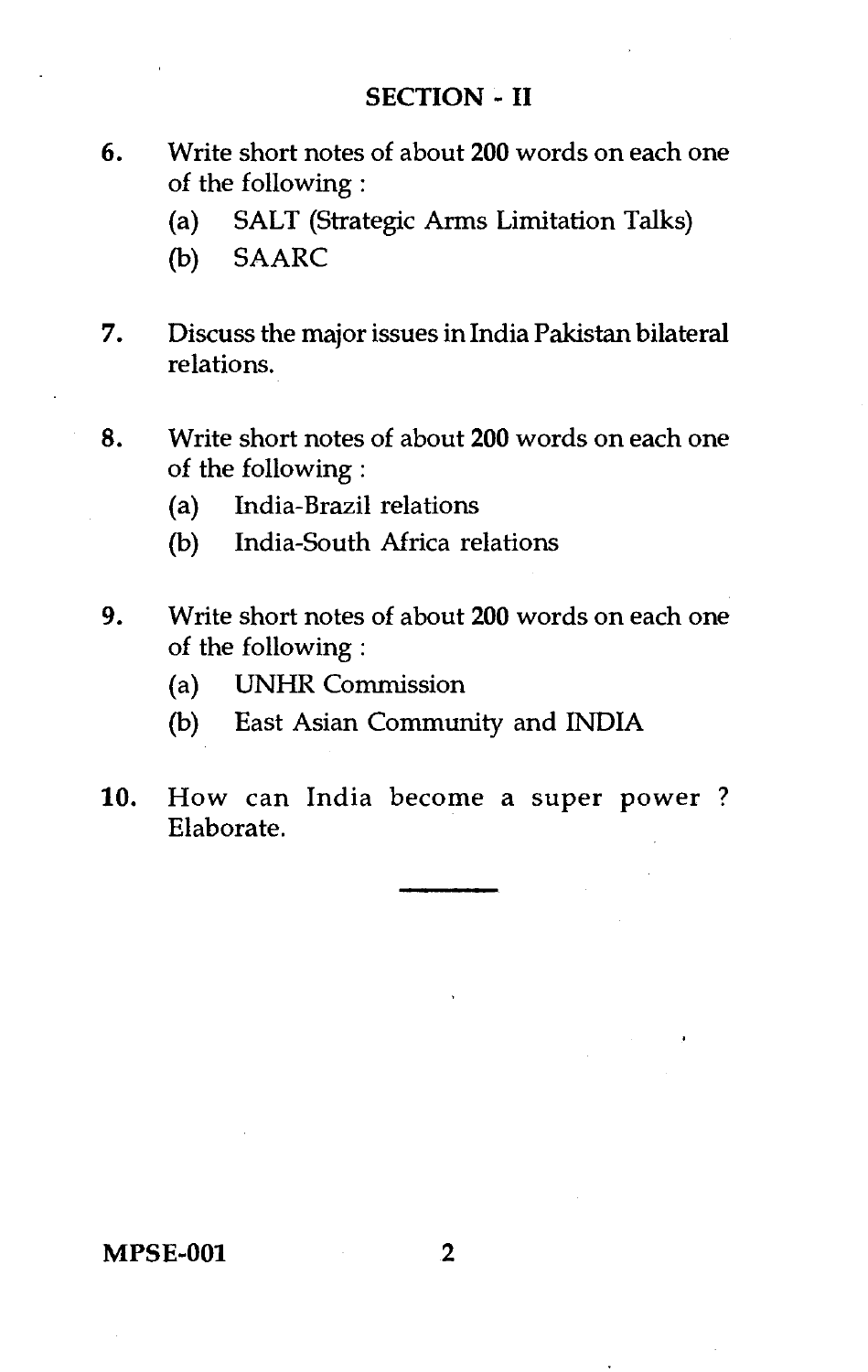#### **SECTION - II**

- **6.** Write short notes of about **200** words on each one of the following :
	- (a) SALT (Strategic Arms Limitation Talks)
	- (b) SAARC
- **7.** Discuss the major issues in India Pakistan bilateral relations.
- 8. Write short notes of about **200** words on each one of the following :
	- (a) India-Brazil relations
	- (b) India-South Africa relations
- **9.** Write short notes of about **200** words on each one of the following :
	- (a) UNHR Commission
	- (b) East Asian Community and INDIA
- 10. How can India become a super power ? Elaborate.

#### **MPSE-001**

 $\overline{2}$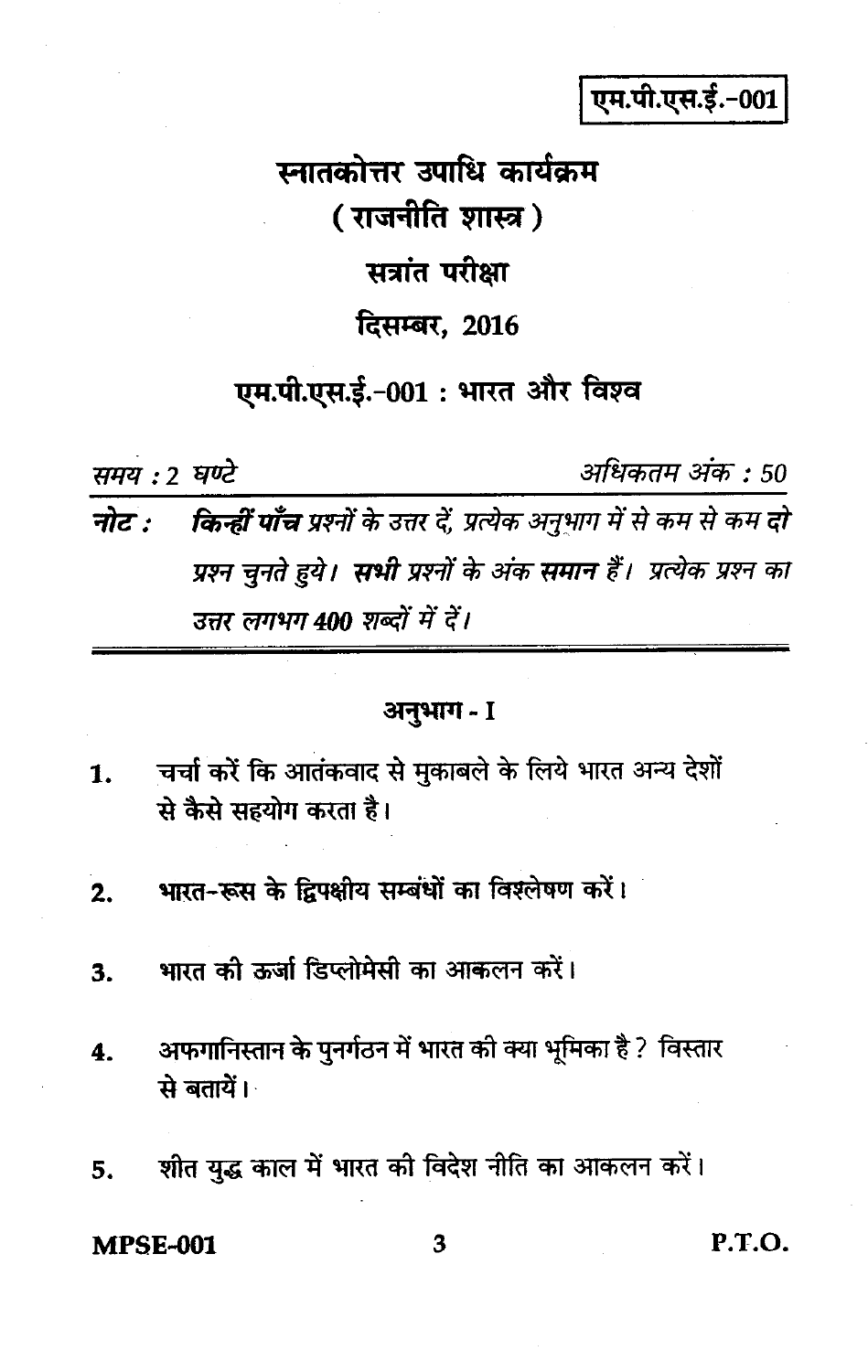एम.पी.एस.ई.-001

स्नातकोत्तर उपाधि कार्यक्रम ( राजनीति शास्त्र ) सत्रांत परीक्षा दिसम्बर, 2016 एम.पी.एस.ई.-001 : भारत और विश्व

समय: 2 घण्टे

अधिकतम अंक : 50

नोट : किन्हीं पाँच प्रश्नों के उत्तर दें, प्रत्येक अनुभाग में से कम से कम दो प्रश्न चनते हये। सभी प्रश्नों के अंक समान हैं। प्रत्येक प्रश्न का उत्तर लगभग 400 शब्दों में दें।

## अनुभाग - I

- चर्चा करें कि आतंकवाद से मुकाबले के लिये भारत अन्य देशों  $\mathbf{1}$ . से कैसे सहयोग करता है।
- भारत-रूस के द्विपक्षीय सम्बंधों का विश्लेषण करें।  $2.$
- भारत की ऊर्जा डिप्लोमेसी का आकलन करें। 3.
- अफगानिस्तान के पुनर्गठन में भारत की क्या भूमिका है ? विस्तार  $\overline{\mathbf{4}}$ . से बतायें।
- शीत युद्ध काल में भारत की विदेश नीति का आकलन करें। 5.

**MPSE-001** 

 $P.T.O.$